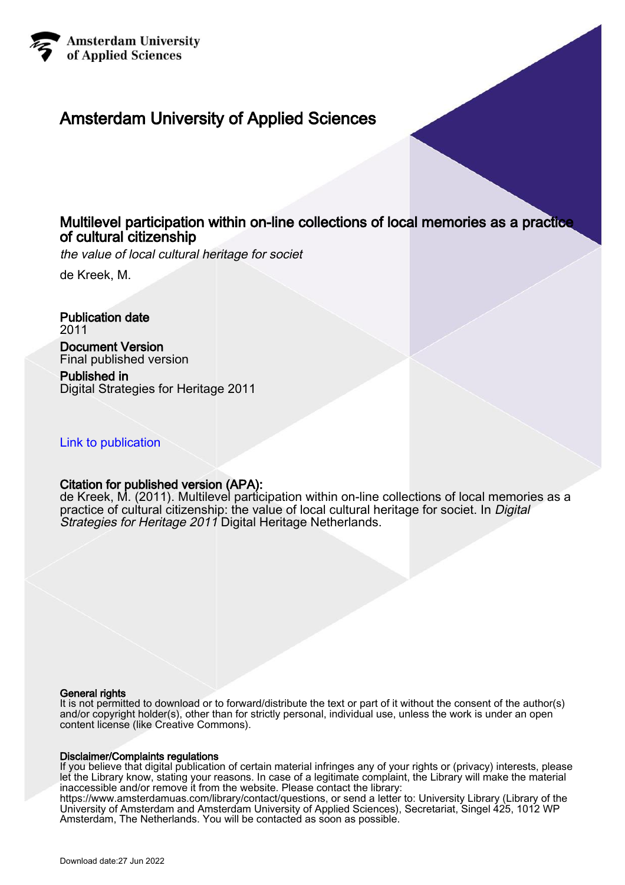

## Amsterdam University of Applied Sciences

## Multilevel participation within on-line collections of local memories as a practice of cultural citizenship

the value of local cultural heritage for societ

de Kreek, M.

Publication date 2011 Document Version Final published version

Published in Digital Strategies for Heritage 2011

#### [Link to publication](https://research.hva.nl/en/publications/22697040-c6c1-44d4-8c0c-73d699efccca)

#### Citation for published version (APA):

de Kreek, M. (2011). Multilevel participation within on-line collections of local memories as a practice of cultural citizenship: the value of local cultural heritage for societ. In Digital Strategies for Heritage 2011 Digital Heritage Netherlands.

#### General rights

It is not permitted to download or to forward/distribute the text or part of it without the consent of the author(s) and/or copyright holder(s), other than for strictly personal, individual use, unless the work is under an open content license (like Creative Commons).

#### Disclaimer/Complaints regulations

If you believe that digital publication of certain material infringes any of your rights or (privacy) interests, please let the Library know, stating your reasons. In case of a legitimate complaint, the Library will make the material inaccessible and/or remove it from the website. Please contact the library: https://www.amsterdamuas.com/library/contact/questions, or send a letter to: University Library (Library of the

University of Amsterdam and Amsterdam University of Applied Sciences), Secretariat, Singel 425, 1012 WP Amsterdam, The Netherlands. You will be contacted as soon as possible.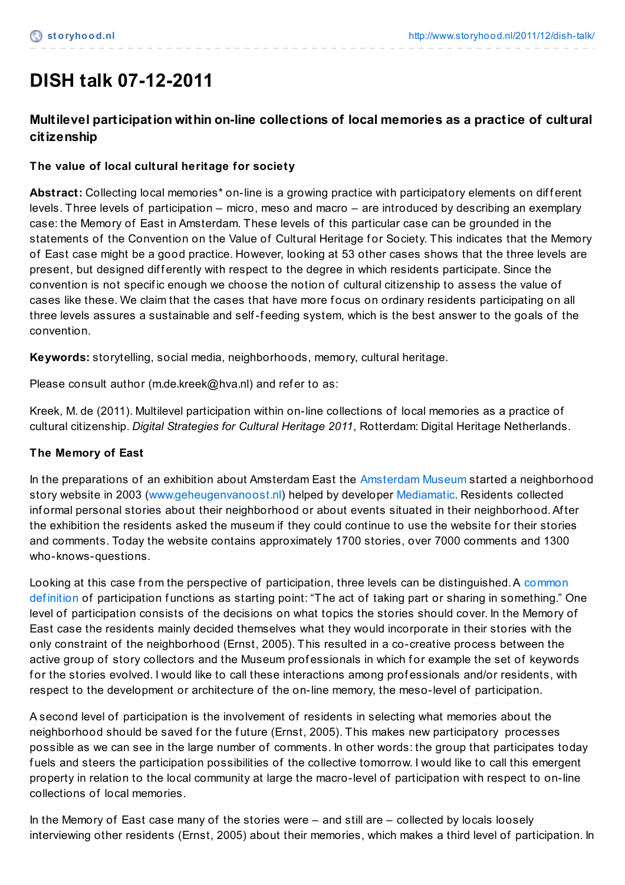# **DISH talk 07-12-2011**

## **Multilevel participation within on-line collections of local memories as a practice of cultural citizenship**

## **The value of local cultural heritage for society**

Abstract: Collecting local memories<sup>\*</sup> on-line is a growing practice with participatory elements on different levels. Three levels of participation – micro, meso and macro – are introduced by describing an exemplary case: the Memory of East in Amsterdam. These levels of this particular case can be grounded in the statements of the Convention on the Value of Cultural Heritage for Society. This indicates that the Memory of East case might be a good practice. However, looking at 53 other cases shows that the three levels are present, but designed differently with respect to the degree in which residents participate. Since the convention is not specif ic enough we choose the notion of cultural citizenship to assess the value of cases like these. We claim that the cases that have more f ocus on ordinary residents participating on all three levels assures a sustainable and self-f eeding system, which is the best answer to the goals of the convention.

**Keywords:** storytelling, social media, neighborhoods, memory, cultural heritage.

Please consult author (m.de.kreek@hva.nl) and refer to as:

Kreek, M. de (2011). Multilevel participation within on-line collections of local memories as a practice of cultural citizenship. *Digital Strategies for Cultural Heritage 2011*, Rotterdam: Digital Heritage Netherlands.

#### **The Memory of East**

In the preparations of an exhibition about Amsterdam East the [Amsterdam](http://www.amsterdammuseum.nl/) Museum started a neighborhood story website in 2003 ([www.geheugenvanoost.nl](http://www.geheugenvanoost.nl/)) helped by developer [Mediamatic](http://www.mediamatic.nl/). Residents collected inf ormal personal stories about their neighborhood or about events situated in their neighborhood.Af ter the exhibition the residents asked the museum if they could continue to use the website for their stories and comments. Today the website contains approximately 1700 stories, over 7000 comments and 1300 who-knows-questions.

Looking at this case from the perspective of participation, three levels can be distinguished. A common definition of participation functions as starting point: "The act of taking part or sharing in something." One level of participation consists of the decisions on what topics the stories should cover. In the Memory of East case the residents mainly decided themselves what they would incorporate in their stories with the only constraint of the neighborhood (Ernst, 2005). This resulted in a co-creative process between the active group of story collectors and the Museum professionals in which for example the set of keywords for the stories evolved. I would like to call these interactions among professionals and/or residents, with respect to the development or architecture of the on-line memory, the meso-level of participation.

A second level of participation is the involvement of residents in selecting what memories about the neighborhood should be saved for the future (Ernst, 2005). This makes new participatory processes possible as we can see in the large number of comments. In other words: the group that participates today f uels and steers the participation possibilities of the collective tomorrow. I would like to call this emergent property in relation to the local community at large the macro-level of participation with respect to on-line collections of local memories.

In the Memory of East case many of the stories were – and still are – collected by locals loosely interviewing other residents (Ernst, 2005) about their memories, which makes a third level of participation. In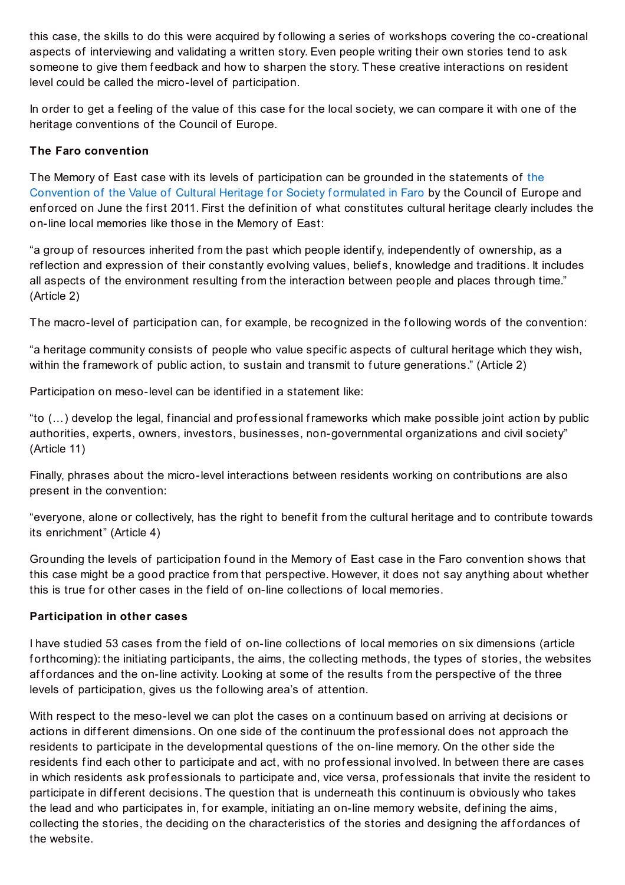this case, the skills to do this were acquired by f ollowing a series of workshops covering the co-creational aspects of interviewing and validating a written story. Even people writing their own stories tend to ask someone to give them feedback and how to sharpen the story. These creative interactions on resident level could be called the micro-level of participation.

In order to get a feeling of the value of this case for the local society, we can compare it with one of the heritage conventions of the Council of Europe.

#### **The Faro convention**

The Memory of East case with its levels of [participation](http://www.coe.int/t/dg4/cultureheritage/heritage/identities/default_EN.asp) can be grounded in the statements of the Convention of the Value of Cultural Heritage for Society formulated in Faro by the Council of Europe and enforced on June the first 2011. First the definition of what constitutes cultural heritage clearly includes the on-line local memories like those in the Memory of East:

"a group of resources inherited from the past which people identif y, independently of ownership, as a ref lection and expression of their constantly evolving values, belief s, knowledge and traditions. It includes all aspects of the environment resulting from the interaction between people and places through time." (Article 2)

The macro-level of participation can, for example, be recognized in the following words of the convention:

"a heritage community consists of people who value specif ic aspects of cultural heritage which they wish, within the framework of public action, to sustain and transmit to future generations." (Article 2)

Participation on meso-level can be identif ied in a statement like:

"to (...) develop the legal, financial and professional frameworks which make possible joint action by public authorities, experts, owners, investors, businesses, non-governmental organizations and civil society" (Article 11)

Finally, phrases about the micro-level interactions between residents working on contributions are also present in the convention:

"everyone, alone or collectively, has the right to benefit from the cultural heritage and to contribute towards its enrichment" (Article 4)

Grounding the levels of participation found in the Memory of East case in the Faro convention shows that this case might be a good practice from that perspective. However, it does not say anything about whether this is true for other cases in the field of on-line collections of local memories.

#### **Participation in other cases**

I have studied 53 cases from the f ield of on-line collections of local memories on six dimensions (article forthcoming): the initiating participants, the aims, the collecting methods, the types of stories, the websites affordances and the on-line activity. Looking at some of the results from the perspective of the three levels of participation, gives us the following area's of attention.

With respect to the meso-level we can plot the cases on a continuum based on arriving at decisions or actions in different dimensions. On one side of the continuum the professional does not approach the residents to participate in the developmental questions of the on-line memory. On the other side the residents find each other to participate and act, with no professional involved. In between there are cases in which residents ask professionals to participate and, vice versa, professionals that invite the resident to participate in different decisions. The question that is underneath this continuum is obviously who takes the lead and who participates in, for example, initiating an on-line memory website, defining the aims, collecting the stories, the deciding on the characteristics of the stories and designing the affordances of the website.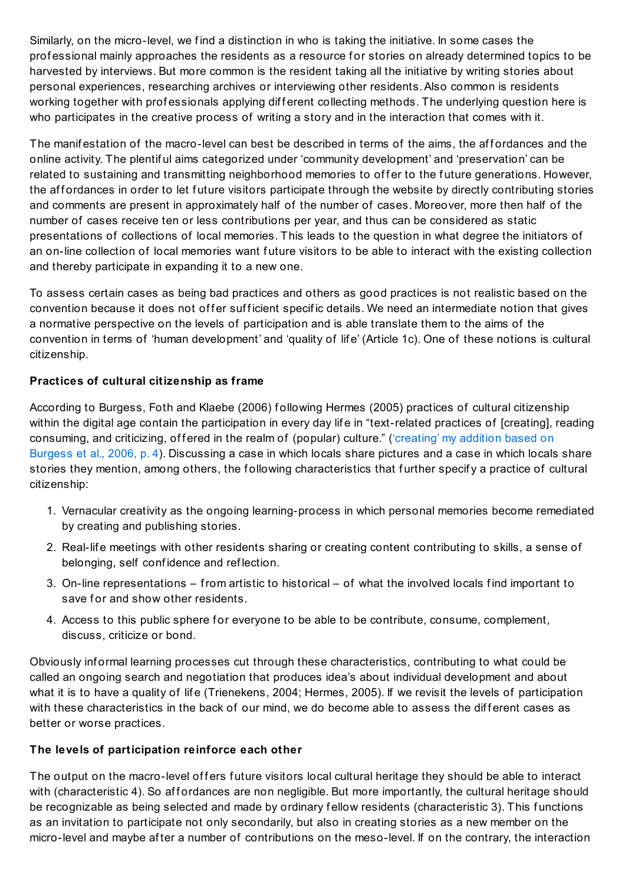Similarly, on the micro-level, we find a distinction in who is taking the initiative. In some cases the professional mainly approaches the residents as a resource for stories on already determined topics to be harvested by interviews. But more common is the resident taking all the initiative by writing stories about personal experiences, researching archives or interviewing other residents.Also common is residents working together with professionals applying different collecting methods. The underlying question here is who participates in the creative process of writing a story and in the interaction that comes with it.

The manifestation of the macro-level can best be described in terms of the aims, the affordances and the online activity. The plentif ul aims categorized under 'community development' and 'preservation' can be related to sustaining and transmitting neighborhood memories to offer to the future generations. However, the affordances in order to let future visitors participate through the website by directly contributing stories and comments are present in approximately half of the number of cases. Moreover, more then half of the number of cases receive ten or less contributions per year, and thus can be considered as static presentations of collections of local memories. This leads to the question in what degree the initiators of an on-line collection of local memories want f uture visitors to be able to interact with the existing collection and thereby participate in expanding it to a new one.

To assess certain cases as being bad practices and others as good practices is not realistic based on the convention because it does not of fer sufficient specific details. We need an intermediate notion that gives a normative perspective on the levels of participation and is able translate them to the aims of the convention in terms of 'human development' and 'quality of lif e' (Article 1c). One of these notions is cultural citizenship.

#### **Practices of cultural citizenship as frame**

According to Burgess, Foth and Klaebe (2006) f ollowing Hermes (2005) practices of cultural citizenship within the digital age contain the participation in every day life in "text-related practices of [creating], reading [consuming,](http://www.storyhood.nl/2011/06/cutural-citizenship-definition/) and criticizing, offered in the realm of (popular) culture." ('creating' my addition based on Burgess et al., 2006, p. 4). Discussing a case in which locals share pictures and a case in which locals share stories they mention, among others, the following characteristics that further specify a practice of cultural citizenship:

- 1. Vernacular creativity as the ongoing learning-process in which personal memories become remediated by creating and publishing stories.
- 2. Real-lif e meetings with other residents sharing or creating content contributing to skills, a sense of belonging, self conf idence and ref lection.
- 3. On-line representations from artistic to historical of what the involved locals f ind important to save for and show other residents.
- 4. Access to this public sphere for everyone to be able to be contribute, consume, complement, discuss, criticize or bond.

Obviously inf ormal learning processes cut through these characteristics, contributing to what could be called an ongoing search and negotiation that produces idea's about individual development and about what it is to have a quality of life (Trienekens, 2004; Hermes, 2005). If we revisit the levels of participation with these characteristics in the back of our mind, we do become able to assess the different cases as better or worse practices.

#### **The levels of participation reinforce each other**

The output on the macro-level offers future visitors local cultural heritage they should be able to interact with (characteristic 4). So affordances are non negligible. But more importantly, the cultural heritage should be recognizable as being selected and made by ordinary f ellow residents (characteristic 3). This f unctions as an invitation to participate not only secondarily, but also in creating stories as a new member on the micro-level and maybe af ter a number of contributions on the meso-level. If on the contrary, the interaction